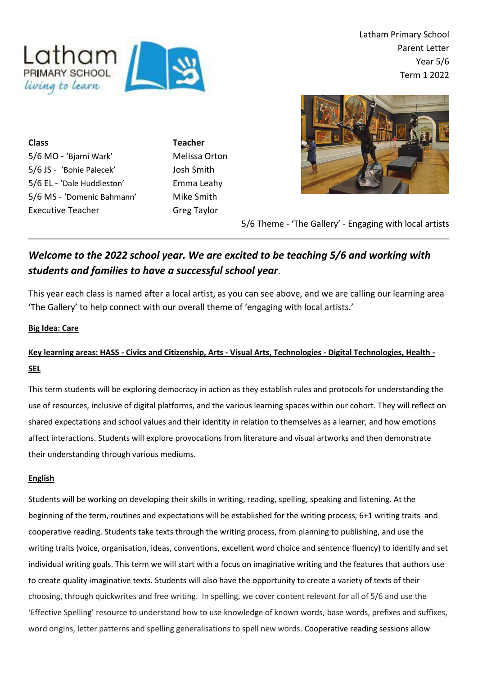

ing to learn

**Class Teacher** 5/6 MO - 'Bjarni Wark' Melissa Orton 5/6 JS - 'Bohie Palecek' Josh Smith 5/6 EL - 'Dale Huddleston' Emma Leahy 5/6 MS - 'Domenic Bahmann' Mike Smith Executive Teacher Greg Taylor



5/6 Theme - 'The Gallery' - Engaging with local artists

# *Welcome to the 2022 school year. We are excited to be teaching 5/6 and working with students and families to have a successful school year*.

This year each class is named after a local artist, as you can see above, and we are calling our learning area 'The Gallery' to help connect with our overall theme of 'engaging with local artists.'

## **Big Idea: Care**

## **Key learning areas: HASS - Civics and Citizenship, Arts - Visual Arts, Technologies - Digital Technologies, Health - SEL**

This term students will be exploring democracy in action as they establish rules and protocols for understanding the use of resources, inclusive of digital platforms, and the various learning spaces within our cohort. They will reflect on shared expectations and school values and their identity in relation to themselves as a learner, and how emotions affect interactions. Students will explore provocations from literature and visual artworks and then demonstrate their understanding through various mediums.

## **English**

Students will be working on developing their skills in writing, reading, spelling, speaking and listening. At the beginning of the term, routines and expectations will be established for the writing process, 6+1 writing traits and cooperative reading. Students take texts through the writing process, from planning to publishing, and use the writing traits (voice, organisation, ideas, conventions, excellent word choice and sentence fluency) to identify and set individual writing goals. This term we will start with a focus on imaginative writing and the features that authors use to create quality imaginative texts. Students will also have the opportunity to create a variety of texts of their choosing, through quickwrites and free writing. In spelling, we cover content relevant for all of 5/6 and use the 'Effective Spelling' resource to understand how to use knowledge of known words, base words, prefixes and suffixes, word origins, letter patterns and spelling generalisations to spell new words. Cooperative reading sessions allow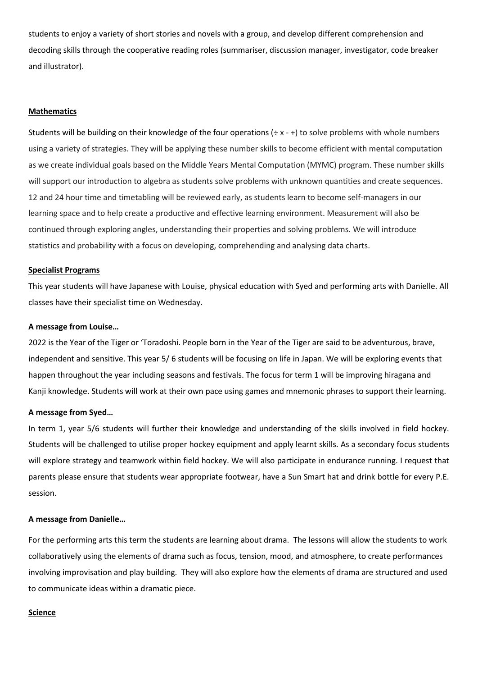students to enjoy a variety of short stories and novels with a group, and develop different comprehension and decoding skills through the cooperative reading roles (summariser, discussion manager, investigator, code breaker and illustrator).

#### **Mathematics**

Students will be building on their knowledge of the four operations  $(· x - +)$  to solve problems with whole numbers using a variety of strategies. They will be applying these number skills to become efficient with mental computation as we create individual goals based on the Middle Years Mental Computation (MYMC) program. These number skills will support our introduction to algebra as students solve problems with unknown quantities and create sequences. 12 and 24 hour time and timetabling will be reviewed early, as students learn to become self-managers in our learning space and to help create a productive and effective learning environment. Measurement will also be continued through exploring angles, understanding their properties and solving problems. We will introduce statistics and probability with a focus on developing, comprehending and analysing data charts.

#### **Specialist Programs**

This year students will have Japanese with Louise, physical education with Syed and performing arts with Danielle. All classes have their specialist time on Wednesday.

#### **A message from Louise…**

2022 is the Year of the Tiger or 'Toradoshi. People born in the Year of the Tiger are said to be adventurous, brave, independent and sensitive. This year 5/ 6 students will be focusing on life in Japan. We will be exploring events that happen throughout the year including seasons and festivals. The focus for term 1 will be improving hiragana and Kanji knowledge. Students will work at their own pace using games and mnemonic phrases to support their learning.

#### **A message from Syed…**

In term 1, year 5/6 students will further their knowledge and understanding of the skills involved in field hockey. Students will be challenged to utilise proper hockey equipment and apply learnt skills. As a secondary focus students will explore strategy and teamwork within field hockey. We will also participate in endurance running. I request that parents please ensure that students wear appropriate footwear, have a Sun Smart hat and drink bottle for every P.E. session.

#### **A message from Danielle…**

For the performing arts this term the students are learning about drama. The lessons will allow the students to work collaboratively using the elements of drama such as focus, tension, mood, and atmosphere, to create performances involving improvisation and play building. They will also explore how the elements of drama are structured and used to communicate ideas within a dramatic piece.

#### **Science**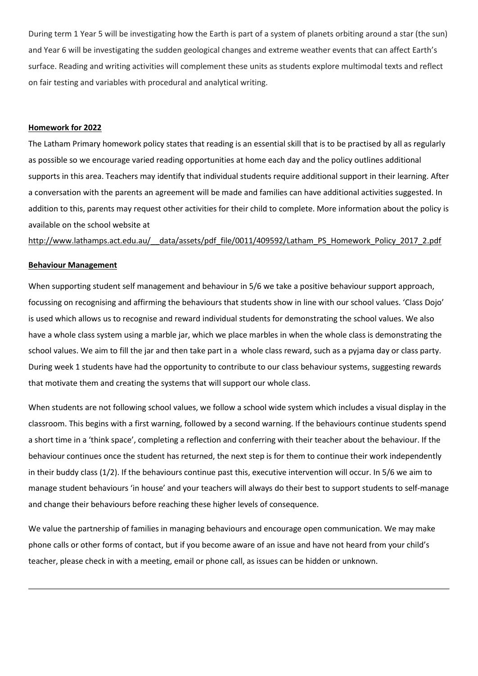During term 1 Year 5 will be investigating how the Earth is part of a system of planets orbiting around a star (the sun) and Year 6 will be investigating the sudden geological changes and extreme weather events that can affect Earth's surface. Reading and writing activities will complement these units as students explore multimodal texts and reflect on fair testing and variables with procedural and analytical writing.

#### **Homework for 2022**

The Latham Primary homework policy states that reading is an essential skill that is to be practised by all as regularly as possible so we encourage varied reading opportunities at home each day and the policy outlines additional supports in this area. Teachers may identify that individual students require additional support in their learning. After a conversation with the parents an agreement will be made and families can have additional activities suggested. In addition to this, parents may request other activities for their child to complete. More information about the policy is available on the school website a[t](http://www.lathamps.act.edu.au/__data/assets/pdf_file/0011/409592/Latham_PS_Homework_Policy_2017_2.pdf)

http://www.lathamps.act.edu.au/ data/assets/pdf file/0011/409592/Latham PS Homework Policy 2017 2.pdf

#### **Behaviour Management**

When supporting student self management and behaviour in 5/6 we take a positive behaviour support approach, focussing on recognising and affirming the behaviours that students show in line with our school values. 'Class Dojo' is used which allows us to recognise and reward individual students for demonstrating the school values. We also have a whole class system using a marble jar, which we place marbles in when the whole class is demonstrating the school values. We aim to fill the jar and then take part in a whole class reward, such as a pyjama day or class party. During week 1 students have had the opportunity to contribute to our class behaviour systems, suggesting rewards that motivate them and creating the systems that will support our whole class.

When students are not following school values, we follow a school wide system which includes a visual display in the classroom. This begins with a first warning, followed by a second warning. If the behaviours continue students spend a short time in a 'think space', completing a reflection and conferring with their teacher about the behaviour. If the behaviour continues once the student has returned, the next step is for them to continue their work independently in their buddy class (1/2). If the behaviours continue past this, executive intervention will occur. In 5/6 we aim to manage student behaviours 'in house' and your teachers will always do their best to support students to self-manage and change their behaviours before reaching these higher levels of consequence.

We value the partnership of families in managing behaviours and encourage open communication. We may make phone calls or other forms of contact, but if you become aware of an issue and have not heard from your child's teacher, please check in with a meeting, email or phone call, as issues can be hidden or unknown.